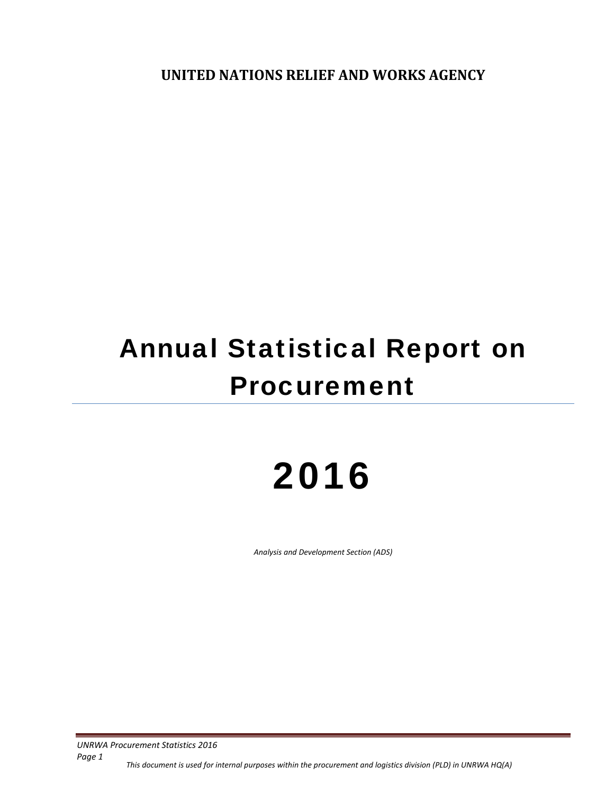**UNITED NATIONS RELIEF AND WORKS AGENCY**

# Annual Statistical Report on Procurement

# 2016

*Analysis and Development Section (ADS)*

*UNRWA Procurement Statistics 2016*

*Page 1*

This document is used for internal purposes within the procurement and logistics division (PLD) in UNRWA HQ(A)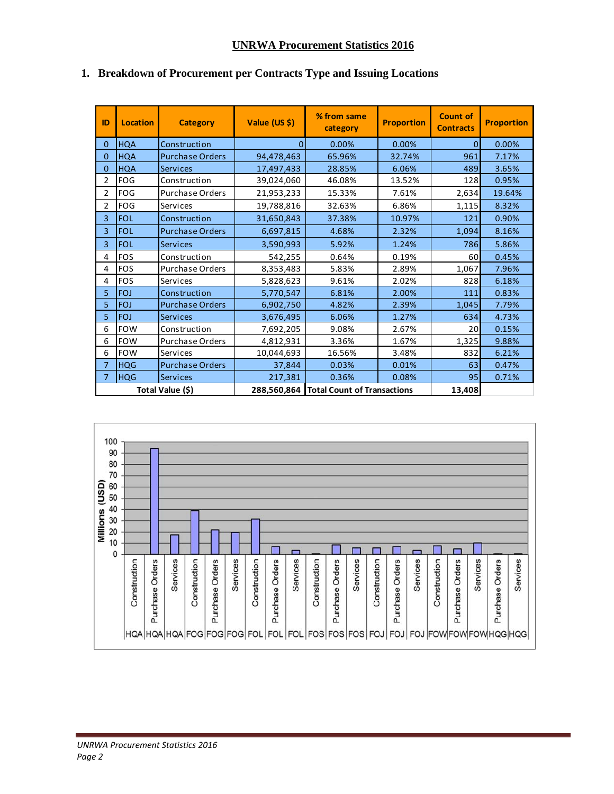## **UNRWA Procurement Statistics 2016**

| ID               | <b>Location</b> | <b>Category</b>        | Value (US \$)                             | % from same<br>category | <b>Proportion</b> |           | <b>Proportion</b> |
|------------------|-----------------|------------------------|-------------------------------------------|-------------------------|-------------------|-----------|-------------------|
| $\mathbf{0}$     | <b>HQA</b>      | Construction           | $\Omega$                                  | 0.00%                   | 0.00%             | $\Omega$  | 0.00%             |
| $\mathbf{0}$     | <b>HQA</b>      | <b>Purchase Orders</b> | 94,478,463                                | 65.96%                  | 32.74%            | 961       | 7.17%             |
| $\mathbf{0}$     | <b>HQA</b>      | <b>Services</b>        | 17,497,433                                | 28.85%                  | 6.06%             | 489       | 3.65%             |
| $\overline{2}$   | <b>FOG</b>      | Construction           | 39,024,060                                | 46.08%                  | 13.52%            | 128       | 0.95%             |
| $\overline{2}$   | <b>FOG</b>      | Purchase Orders        | 21,953,233                                | 15.33%                  | 7.61%             | 2,634     | 19.64%            |
| $\overline{2}$   | <b>FOG</b>      | Services               | 19,788,816                                | 32.63%                  | 6.86%             | 1,115     | 8.32%             |
| $\overline{3}$   | <b>FOL</b>      | Construction           | 31,650,843                                | 37.38%                  | 10.97%            | 121       | 0.90%             |
| $\overline{3}$   | <b>FOL</b>      | <b>Purchase Orders</b> | 6,697,815                                 | 4.68%                   | 2.32%             | 1,094     | 8.16%             |
| 3                | <b>FOL</b>      | <b>Services</b>        | 3,590,993                                 | 5.92%                   | 1.24%             | 786       | 5.86%             |
| 4                | <b>FOS</b>      | Construction           | 542,255                                   | 0.64%                   | 0.19%             | 60        | 0.45%             |
| 4                | <b>FOS</b>      | Purchase Orders        | 8,353,483                                 | 5.83%                   | 2.89%             | 1,067     | 7.96%             |
| 4                | <b>FOS</b>      | Services               | 5,828,623                                 | 9.61%                   | 2.02%             | 828       | 6.18%             |
| 5                | <b>FOJ</b>      | Construction           | 5,770,547                                 | 6.81%                   | 2.00%             | 111       | 0.83%             |
| 5                | <b>FOJ</b>      | <b>Purchase Orders</b> | 6,902,750                                 | 4.82%                   | 2.39%             | 1,045     | 7.79%             |
| 5                | <b>FOJ</b>      | <b>Services</b>        | 3,676,495                                 | 6.06%                   | 1.27%             | 634       | 4.73%             |
| 6                | <b>FOW</b>      | Construction           | 7,692,205                                 | 9.08%                   | 2.67%             | <b>20</b> | 0.15%             |
| 6                | <b>FOW</b>      | <b>Purchase Orders</b> | 4,812,931                                 | 3.36%                   | 1.67%             | 1,325     | 9.88%             |
| 6                | <b>FOW</b>      | Services               | 10,044,693                                | 16.56%                  | 3.48%             | 832       | 6.21%             |
| $\overline{7}$   | <b>HQG</b>      | <b>Purchase Orders</b> | 37,844                                    | 0.03%                   | 0.01%             | 63        | 0.47%             |
| $\overline{7}$   | <b>HQG</b>      | <b>Services</b>        | 217,381                                   | 0.36%                   | 0.08%             | 95        | 0.71%             |
| Total Value (\$) |                 |                        | 288,560,864   Total Count of Transactions |                         | 13,408            |           |                   |

## **1. Breakdown of Procurement per Contracts Type and Issuing Locations**

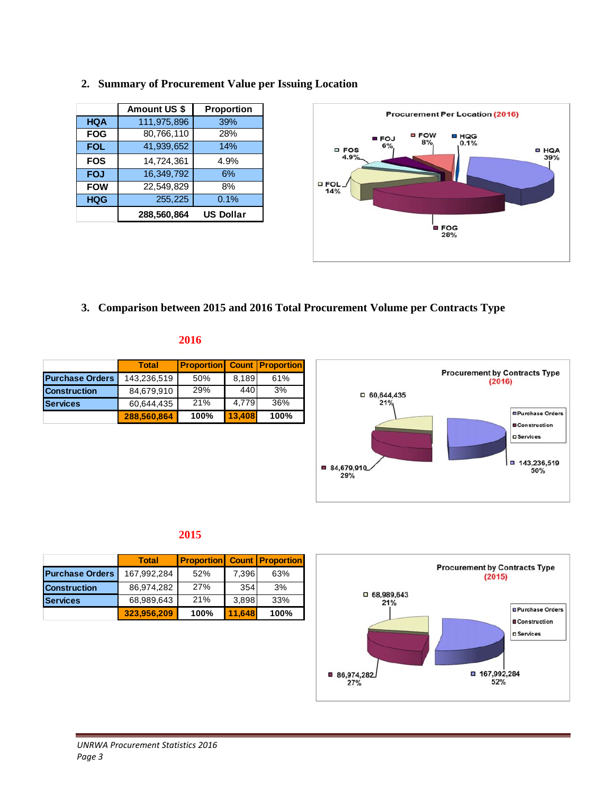|            | Amount US \$ | <b>Proportion</b> |
|------------|--------------|-------------------|
| <b>HQA</b> | 111,975,896  | 39%               |
| <b>FOG</b> | 80,766,110   | 28%               |
| <b>FOL</b> | 41,939,652   | 14%               |
| <b>FOS</b> | 14,724,361   | 4.9%              |
| <b>FOJ</b> | 16, 349, 792 | 6%                |
| <b>FOW</b> | 22,549,829   | 8%                |
| <b>HQG</b> | 255,225      | 0.1%              |
|            | 288,560,864  | <b>US Dollar</b>  |





**3. Comparison between 2015 and 2016 Total Procurement Volume per Contracts Type** 

#### **2016**

|                        | <b>Total</b> | <b>Proportion Count Proportion</b> |        |      |
|------------------------|--------------|------------------------------------|--------|------|
| <b>Purchase Orders</b> | 143,236,519  | 50%                                | 8,189  | 61%  |
| <b>Construction</b>    | 84,679,910   | 29%                                | 440    | 3%   |
| <b>Services</b>        | 60,644,435   | 21%                                | 4.779  | 36%  |
|                        | 288,560,864  | 100%                               | 13.408 | 100% |



# **2015**

|                        | <b>Total</b> | <b>Proportion Count Proportion</b> |        |      |
|------------------------|--------------|------------------------------------|--------|------|
| <b>Purchase Orders</b> | 167.992.284  | 52%                                | 7.396  | 63%  |
| <b>Construction</b>    | 86,974,282   | 27%                                | 354    | 3%   |
| <b>Services</b>        | 68,989,643   | 21%                                | 3,898  | 33%  |
|                        | 323,956,209  | 100%                               | 11.648 | 100% |

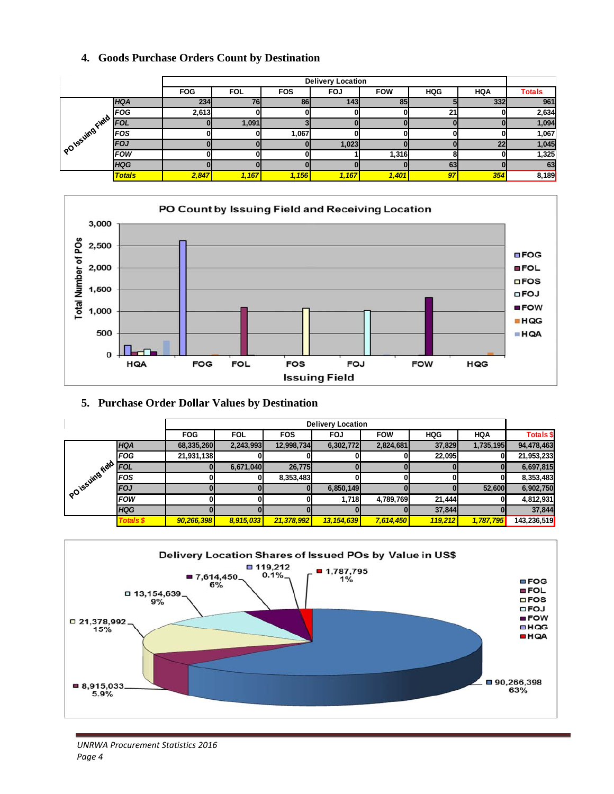|  |  |  |  |  |  | 4. Goods Purchase Orders Count by Destination |
|--|--|--|--|--|--|-----------------------------------------------|
|--|--|--|--|--|--|-----------------------------------------------|

|                |               |            | <b>Delivery Location</b> |            |                  |            |            |            |               |  |
|----------------|---------------|------------|--------------------------|------------|------------------|------------|------------|------------|---------------|--|
|                |               | <b>FOG</b> | <b>FOL</b>               | <b>FOS</b> | <b>FOJ</b>       | <b>FOW</b> | <b>HQG</b> | <b>HQA</b> | <b>Totals</b> |  |
|                | <b>HQA</b>    | 234        | 76                       | 86         | 143 <sub>l</sub> | 85         |            | 332        | 961           |  |
|                | <b>FOG</b>    | 2,613      |                          |            |                  | 01         | 21         |            | 2,634         |  |
| POISSUINGFIELD | <b>FOL</b>    |            | 1,091                    |            |                  |            |            |            | 1,094         |  |
|                | <b>FOS</b>    |            |                          | 1,067      |                  | 01         |            |            | 1,067         |  |
|                | FOJ           |            |                          |            | 1,023            |            |            | 22         | 1,045         |  |
|                | <b>FOW</b>    |            |                          |            |                  | 1,316      |            |            | 1,325         |  |
|                | <b>HQG</b>    |            |                          |            |                  |            | 63         |            | 63            |  |
|                | <b>Totals</b> | 2,847      | 1,167                    | 1,156      | 1,167            | 1,401      | 97         | 354        | 8,189         |  |



## **5. Purchase Order Dollar Values by Destination**

|                   |                  | <b>Delivery Location</b> |            |            |              |            |            |            |                  |  |
|-------------------|------------------|--------------------------|------------|------------|--------------|------------|------------|------------|------------------|--|
|                   |                  | <b>FOG</b>               | <b>FOL</b> | <b>FOS</b> | <b>FOJ</b>   | <b>FOW</b> | <b>HQG</b> | <b>HQA</b> | <b>Totals \$</b> |  |
|                   | <b>HQA</b>       | 68,335,260               | 2,243,993  | 12,998,734 | 6,302,772    | 2,824,681  | 37,829     | 1,735,195  | 94,478,463       |  |
|                   | <b>FOG</b>       | 21,931,138               |            |            |              |            | 22,095     |            | 21,953,233       |  |
|                   | <b>FOL</b>       |                          | 6,671,040  | 26,775     |              |            |            |            | 6,697,815        |  |
|                   | <b>FOS</b>       |                          |            | 8,353,483  |              |            |            |            | 8,353,483        |  |
| POISSUING field A | FOJ              |                          |            |            | 6,850,149    |            |            | 52,600     | 6,902,750        |  |
|                   | <b>FOW</b>       |                          |            |            | 1,718        | 4,789,769  | 21,444     |            | 4,812,931        |  |
|                   | <b>HQG</b>       |                          |            |            |              |            | 37,844     |            | 37,844           |  |
|                   | <b>Totals \$</b> | 90,266,398               | 8,915,033  | 21,378,992 | 13, 154, 639 | 7,614,450  | 119,212    | 1,787,795  | 143,236,519      |  |

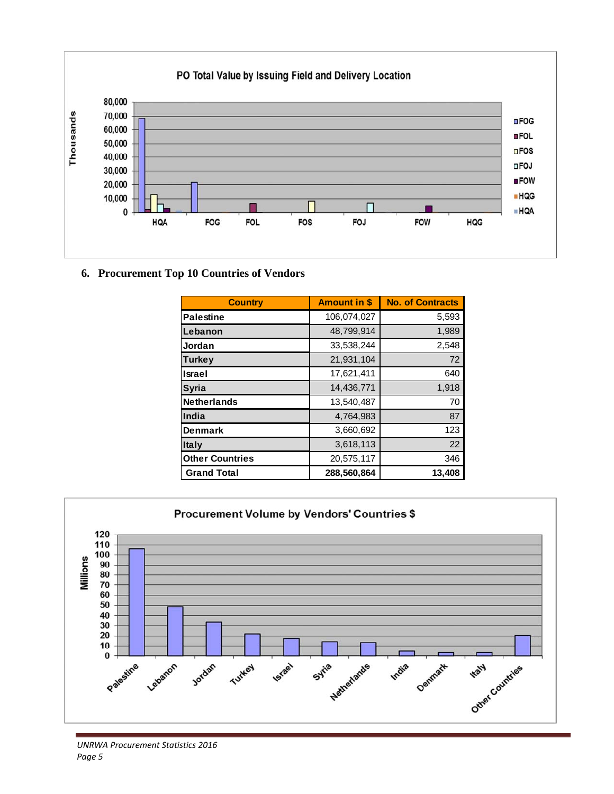

**6. Procurement Top 10 Countries of Vendors** 

| <b>Country</b>         | <b>Amount in \$</b> | <b>No. of Contracts</b> |
|------------------------|---------------------|-------------------------|
| <b>Palestine</b>       | 106,074,027         | 5,593                   |
| Lebanon                | 48,799,914          | 1,989                   |
| Jordan                 | 33,538,244          | 2,548                   |
| Turkey                 | 21,931,104          | 72                      |
| Israel                 | 17,621,411          | 640                     |
| <b>Syria</b>           | 14,436,771          | 1,918                   |
| <b>Netherlands</b>     | 13,540,487          | 70                      |
| India                  | 4,764,983           | 87                      |
| <b>Denmark</b>         | 3,660,692           | 123                     |
| <b>Italy</b>           | 3,618,113           | 22                      |
| <b>Other Countries</b> | 20,575,117          | 346                     |
| <b>Grand Total</b>     | 288,560,864         | 13,408                  |

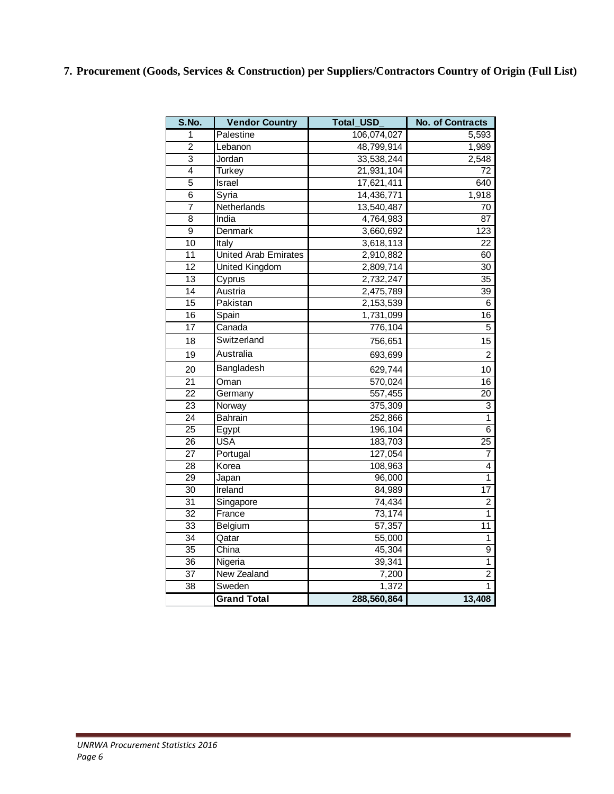**7. Procurement (Goods, Services & Construction) per Suppliers/Contractors Country of Origin (Full List)** 

| S.No.           | <b>Vendor Country</b>       | <b>Total USD</b> | <b>No. of Contracts</b> |
|-----------------|-----------------------------|------------------|-------------------------|
| 1               | Palestine                   | 106,074,027      | 5,593                   |
| $\overline{2}$  | Lebanon                     | 48,799,914       | 1,989                   |
| 3               | Jordan                      | 33,538,244       | 2,548                   |
| 4               | Turkey                      | 21,931,104       | 72                      |
| $\overline{5}$  | <b>Israel</b>               | 17,621,411       | 640                     |
| $\overline{6}$  | Syria                       | 14,436,771       | 1,918                   |
| 7               | Netherlands                 | 13,540,487       | 70                      |
| $\overline{8}$  | India                       | 4,764,983        | 87                      |
| 9               | Denmark                     | 3,660,692        | 123                     |
| $\overline{10}$ | Italy                       | 3,618,113        | $\overline{22}$         |
| $\overline{11}$ | <b>United Arab Emirates</b> | 2,910,882        | 60                      |
| $\overline{12}$ | <b>United Kingdom</b>       | 2,809,714        | 30                      |
| $\overline{13}$ | Cyprus                      | 2,732,247        | $\overline{35}$         |
| $\overline{14}$ | Austria                     | 2,475,789        | 39                      |
| $\overline{15}$ | Pakistan                    | 2,153,539        | 6                       |
| 16              | Spain                       | 1,731,099        | $\overline{16}$         |
| 17              | Canada                      | 776,104          | 5                       |
| 18              | Switzerland                 | 756,651          | 15                      |
| 19              | Australia                   | 693,699          | $\overline{2}$          |
| 20              | Bangladesh                  | 629,744          | 10                      |
| $\overline{21}$ | $\overline{\text{O}}$ man   | 570,024          | $\overline{16}$         |
| $\overline{22}$ | Germany                     | 557,455          | $\overline{20}$         |
| 23              | Norway                      | 375,309          | 3                       |
| $\overline{24}$ | <b>Bahrain</b>              | 252,866          | 1                       |
| $\overline{25}$ | Egypt                       | 196,104          | $\overline{6}$          |
| 26              | <b>USA</b>                  | 183,703          | $\overline{25}$         |
| $\overline{27}$ | Portugal                    | 127,054          | 7                       |
| 28              | Korea                       | 108,963          | 4                       |
| 29              | Japan                       | 96,000           | 1                       |
| 30              | Ireland                     | 84,989           | 17                      |
| $\overline{31}$ | Singapore                   | 74,434           | $\overline{2}$          |
| $\overline{32}$ | France                      | 73,174           | 1                       |
| 33              | Belgium                     | 57,357           | 11                      |
| $\overline{34}$ | Qatar                       | 55,000           | 1                       |
| $\overline{35}$ | China                       | 45,304           | 9                       |
| $\overline{36}$ | Nigeria                     | 39,341           | 1                       |
| $\overline{37}$ | New Zealand                 | 7,200            | $\overline{2}$          |
| 38              | Sweden                      | 1,372            | 1                       |
|                 | <b>Grand Total</b>          | 288,560,864      | 13,408                  |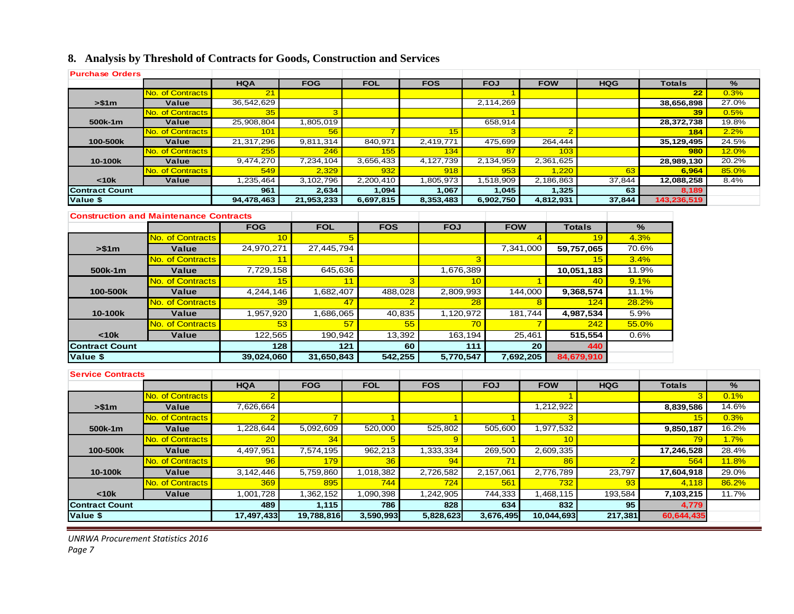# **8. Analysis by Threshold of Contracts for Goods, Construction and Services**

| <b>Purchase Orders</b>   |                                               |            |            |            |                      |              |         |              |                      |                |               |                |       |               |              |
|--------------------------|-----------------------------------------------|------------|------------|------------|----------------------|--------------|---------|--------------|----------------------|----------------|---------------|----------------|-------|---------------|--------------|
|                          |                                               | <b>HQA</b> | <b>FOG</b> | <b>FOL</b> |                      | <b>FOS</b>   |         | <b>FOJ</b>   | <b>FOW</b>           |                |               | <b>HQG</b>     |       | <b>Totals</b> | %            |
|                          | No. of Contracts                              | 21         |            |            |                      |              |         |              |                      |                |               |                |       | 22            | 0.3%         |
| > \$1m                   | Value                                         | 36,542,629 |            |            |                      |              |         | 2,114,269    |                      |                |               |                |       | 38,656,898    | 27.0%        |
|                          | No. of Contracts                              | 35         | 3          |            |                      |              |         |              |                      |                |               |                |       | 39            | 0.5%         |
| 500k-1m                  | Value                                         | 25,908,804 | 1,805,019  |            |                      |              |         | 658,914      |                      |                |               |                |       | 28,372,738    | 19.8%        |
|                          | No. of Contracts                              | 101        | 56         |            |                      | 15           |         | 3            |                      | $\overline{2}$ |               |                |       | 184           | 2.2%         |
| 100-500k                 | Value                                         | 21,317,296 | 9,811,314  | 840,971    |                      | 2,419,771    |         | 475,699      |                      | 264,444        |               |                |       | 35.129.495    | 24.5%        |
|                          | No. of Contracts                              | <b>255</b> | 246        | 155        |                      | 134          |         | 87           |                      | 103            |               |                |       | 980           | <b>12.0%</b> |
| 10-100k                  | Value                                         | 9,474,270  | 7,234,104  | 3,656,433  |                      | 4,127,739    |         | 2,134,959    |                      | 2,361,625      |               |                |       | 28,989,130    | 20.2%        |
|                          | No. of Contracts                              | 549        | 2.329      | 932        |                      | 918          |         | 953          |                      | 1.220          |               | 63             |       | 6.964         | 85.0%        |
| $10k$                    | Value                                         | 1,235,464  | 3,102,796  | 2,200,410  |                      | 1,805,973    |         | 1,518,909    |                      | 2,186,863      |               | 37,844         |       | 12,088,258    | 8.4%         |
| <b>Contract Count</b>    |                                               | 961        | 2,634      | 1,094      |                      | 1,067        |         | 1,045        |                      | 1,325          |               | 63             |       | 8,189         |              |
| Value \$                 |                                               | 94,478,463 | 21,953,233 | 6,697,815  |                      | 8,353,483    |         | 6,902,750    |                      | 4,812,931      |               | 37,844         |       | 143,236,519   |              |
|                          | <b>Construction and Maintenance Contracts</b> |            |            |            |                      |              |         |              |                      |                |               |                |       |               |              |
|                          |                                               | <b>FOG</b> | <b>FOL</b> | <b>FOS</b> |                      | <b>FOJ</b>   |         | <b>FOW</b>   |                      |                | <b>Totals</b> |                | %     |               |              |
|                          | No. of Contracts                              |            | 10         | 5          |                      |              |         |              | $\overline{4}$       |                | 19            | 4.3%           |       |               |              |
| > \$1m                   | Value                                         | 24,970,271 | 27,445,794 |            |                      |              |         |              | 7,341,000            |                | 59.757.065    |                | 70.6% |               |              |
|                          | <b>No. of Contracts</b>                       |            | 11         |            |                      |              | 3       |              |                      |                | 15            |                | 3.4%  |               |              |
| 500k-1m                  | <b>Value</b>                                  | 7,729,158  |            | 645,636    |                      | 1,676,389    |         |              |                      | 10,051,183     |               | 11.9%          |       |               |              |
|                          | No. of Contracts                              |            | 15         | 11         | 3                    |              | 10      |              | $\blacktriangleleft$ |                | 40            |                | 9.1%  |               |              |
| 100-500k                 | Value                                         | 4.244.146  | 1,682,407  |            | 488.028<br>2.809.993 |              |         |              |                      |                | 9,368,574     |                |       |               |              |
|                          |                                               |            |            |            |                      |              |         | 144.000      |                      |                |               | 11.1%          |       |               |              |
|                          | No. of Contracts                              |            | 39         | 47         | $\overline{2}$       |              | 28      | 8<br>181,744 |                      | 124            |               | 28.2%          |       |               |              |
| 10-100k                  | <b>Value</b>                                  | 1,957,920  | 1,686,065  |            | 40,835               | 1,120,972    |         |              |                      |                | 4,987,534     |                | 5.9%  |               |              |
|                          | No. of Contracts                              |            | 53         | 57         | 55                   |              | 70      |              | 7                    |                | 242           |                | 55.0% |               |              |
| < 10k                    | Value                                         | 122,565    | 190,942    |            | 13,392               |              | 163,194 |              | 25,461               |                | 515,554       | 0.6%           |       |               |              |
| <b>Contract Count</b>    |                                               | 128        |            | 121        | 60                   |              | 111     |              | 20                   |                | 440           |                |       |               |              |
| Value \$                 |                                               | 39,024,060 | 31,650,843 |            | 542,255              | 5,770,547    |         |              | 7,692,205            |                | 84,679,910    |                |       |               |              |
|                          |                                               |            |            |            |                      |              |         |              |                      |                |               |                |       |               |              |
| <b>Service Contracts</b> |                                               | <b>HQA</b> | <b>FOG</b> | <b>FOL</b> |                      | <b>FOS</b>   |         | <b>FOJ</b>   | <b>FOW</b>           |                |               |                |       | <b>Totals</b> | %            |
|                          |                                               | 2          |            |            |                      |              |         |              |                      |                |               | <b>HQG</b>     |       |               | 0.1%         |
|                          | No. of Contracts                              |            |            |            |                      |              |         |              |                      |                |               |                |       | 3             |              |
| > \$1m                   | Value                                         | 7,626,664  |            |            |                      |              |         |              |                      | 1,212,922      |               |                |       | 8.839.586     | 14.6%        |
|                          | <b>No. of Contracts</b>                       |            |            | 1          |                      |              |         | 1            |                      | 3              |               |                |       | 15            | 0.3%         |
| 500k-1m                  | Value                                         | 1,228,644  | 5,092,609  | 520,000    |                      | 525,802      |         | 505,600      |                      | 1,977,532      |               |                |       | 9,850,187     | 16.2%        |
|                          | <b>No. of Contracts</b>                       | 20         | 34         | 5          |                      | $\mathbf{Q}$ |         |              |                      | 10             |               |                |       | 79            | 1.7%         |
| 100-500k                 | Value                                         | 4,497,951  | 7,574,195  | 962,213    |                      | 1,333,334    |         | 269,500      |                      | 2,609,335      |               |                |       | 17,246,528    | 28.4%        |
|                          | <b>No. of Contracts</b>                       | 96         | 179        | 36         |                      | 94           |         | 71           |                      | 86             |               | $\overline{2}$ |       | 564           | <b>11.8%</b> |
| 10-100k                  | Value                                         | 3,142,446  | 5,759,860  | 1,018,382  |                      | 2,726,582    |         | 2,157,061    |                      | 2,776,789      |               | 23,797         |       | 17,604,918    | 29.0%        |
|                          | <b>No. of Contracts</b>                       | 369        | 895        | 744        |                      | 724          |         | 561          |                      | 732            |               | 93             |       | 4.118         | 86.2%        |
| $<$ 10 $k$               | Value                                         | 1,001,728  | 1,362,152  | 1,090,398  |                      | 1,242,905    |         | 744,333      |                      | 1,468,115      |               | 193,584        |       | 7,103,215     | 11.7%        |
| <b>Contract Count</b>    |                                               | 489        | 1,115      | 786        |                      | 828          |         | 634          |                      | 832            |               | 95             |       | 4,779         |              |
| Value \$                 |                                               | 17,497,433 | 19,788,816 | 3,590,993  |                      | 5,828,623    |         | 3,676,495    |                      | 10,044,693     |               | 217,381        |       | 60,644,435    |              |
|                          |                                               |            |            |            |                      |              |         |              |                      |                |               |                |       |               |              |

*UNRWA Procurement Statistics 2016*

*Page 7*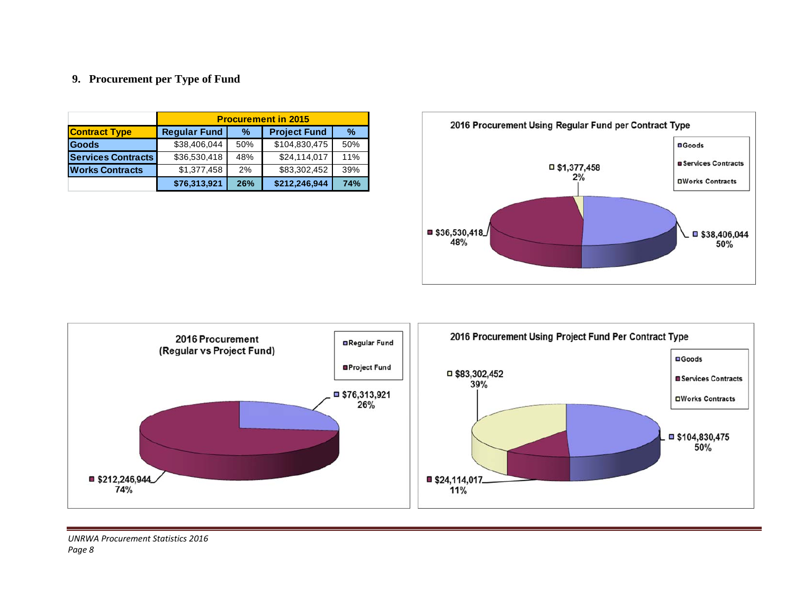## **9. Procurement per Type of Fund**

|                           |                     | <b>Procurement in 2015</b>           |               |     |  |  |  |  |  |  |
|---------------------------|---------------------|--------------------------------------|---------------|-----|--|--|--|--|--|--|
| <b>Contract Type</b>      | <b>Regular Fund</b> | <b>Project Fund</b><br>$\frac{9}{6}$ |               |     |  |  |  |  |  |  |
| Goods                     | \$38,406,044        | 50%                                  | \$104,830,475 | 50% |  |  |  |  |  |  |
| <b>Services Contracts</b> | \$36,530,418        | 48%                                  | \$24,114,017  | 11% |  |  |  |  |  |  |
| <b>Works Contracts</b>    | \$1,377,458         | 2%                                   | \$83,302,452  | 39% |  |  |  |  |  |  |
|                           | \$76,313,921        | 26%                                  | \$212,246,944 | 74% |  |  |  |  |  |  |



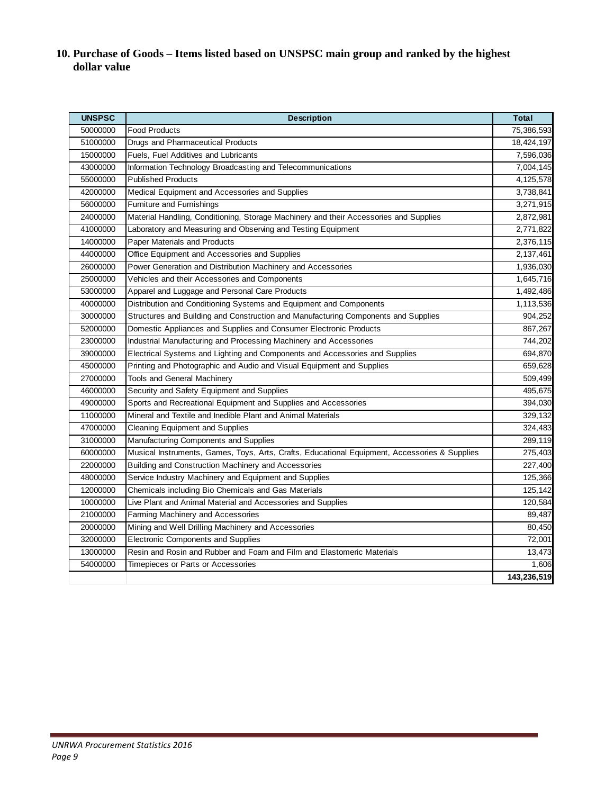# **10. Purchase of Goods – Items listed based on UNSPSC main group and ranked by the highest dollar value**

| <b>UNSPSC</b> | <b>Description</b>                                                                            | <b>Total</b> |
|---------------|-----------------------------------------------------------------------------------------------|--------------|
| 50000000      | <b>Food Products</b>                                                                          | 75,386,593   |
| 51000000      | Drugs and Pharmaceutical Products                                                             | 18,424,197   |
| 15000000      | Fuels, Fuel Additives and Lubricants                                                          | 7,596,036    |
| 43000000      | Information Technology Broadcasting and Telecommunications                                    | 7,004,145    |
| 55000000      | <b>Published Products</b>                                                                     | 4,125,578    |
| 42000000      | Medical Equipment and Accessories and Supplies                                                | 3,738,841    |
| 56000000      | Furniture and Furnishings                                                                     | 3,271,915    |
| 24000000      | Material Handling, Conditioning, Storage Machinery and their Accessories and Supplies         | 2,872,981    |
| 41000000      | Laboratory and Measuring and Observing and Testing Equipment                                  | 2,771,822    |
| 14000000      | Paper Materials and Products                                                                  | 2,376,115    |
| 44000000      | Office Equipment and Accessories and Supplies                                                 | 2,137,461    |
| 26000000      | Power Generation and Distribution Machinery and Accessories                                   | 1,936,030    |
| 25000000      | Vehicles and their Accessories and Components                                                 | 1,645,716    |
| 53000000      | Apparel and Luggage and Personal Care Products                                                | 1,492,486    |
| 40000000      | Distribution and Conditioning Systems and Equipment and Components                            | 1,113,536    |
| 30000000      | Structures and Building and Construction and Manufacturing Components and Supplies            | 904,252      |
| 52000000      | Domestic Appliances and Supplies and Consumer Electronic Products                             | 867,267      |
| 23000000      | Industrial Manufacturing and Processing Machinery and Accessories                             | 744,202      |
| 39000000      | Electrical Systems and Lighting and Components and Accessories and Supplies                   | 694,870      |
| 45000000      | Printing and Photographic and Audio and Visual Equipment and Supplies                         | 659,628      |
| 27000000      | <b>Tools and General Machinery</b>                                                            | 509,499      |
| 46000000      | Security and Safety Equipment and Supplies                                                    | 495,675      |
| 49000000      | Sports and Recreational Equipment and Supplies and Accessories                                | 394,030      |
| 11000000      | Mineral and Textile and Inedible Plant and Animal Materials                                   | 329,132      |
| 47000000      | <b>Cleaning Equipment and Supplies</b>                                                        | 324,483      |
| 31000000      | Manufacturing Components and Supplies                                                         | 289,119      |
| 60000000      | Musical Instruments, Games, Toys, Arts, Crafts, Educational Equipment, Accessories & Supplies | 275,403      |
| 22000000      | Building and Construction Machinery and Accessories                                           | 227,400      |
| 48000000      | Service Industry Machinery and Equipment and Supplies                                         | 125,366      |
| 12000000      | Chemicals including Bio Chemicals and Gas Materials                                           | 125,142      |
| 10000000      | Live Plant and Animal Material and Accessories and Supplies                                   | 120,584      |
| 21000000      | Farming Machinery and Accessories                                                             | 89,487       |
| 20000000      | Mining and Well Drilling Machinery and Accessories                                            | 80,450       |
| 32000000      | <b>Electronic Components and Supplies</b>                                                     | 72,001       |
| 13000000      | Resin and Rosin and Rubber and Foam and Film and Elastomeric Materials                        | 13,473       |
| 54000000      | Timepieces or Parts or Accessories                                                            | 1,606        |
|               |                                                                                               | 143,236,519  |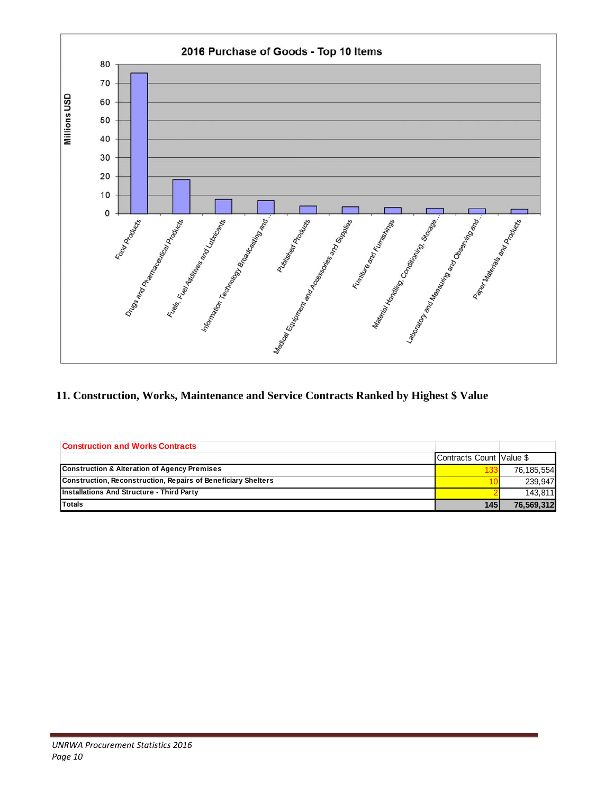

**11. Construction, Works, Maintenance and Service Contracts Ranked by Highest \$ Value** 

| <b>Construction and Works Contracts</b>                       |                          |            |
|---------------------------------------------------------------|--------------------------|------------|
|                                                               | Contracts Count Value \$ |            |
| <b>Construction &amp; Alteration of Agency Premises</b>       |                          | 76.185.554 |
| Construction, Reconstruction, Repairs of Beneficiary Shelters |                          | 239.947    |
| <b>Installations And Structure - Third Party</b>              |                          | 143.811    |
| <b>Totals</b>                                                 | 145                      | 76.569.312 |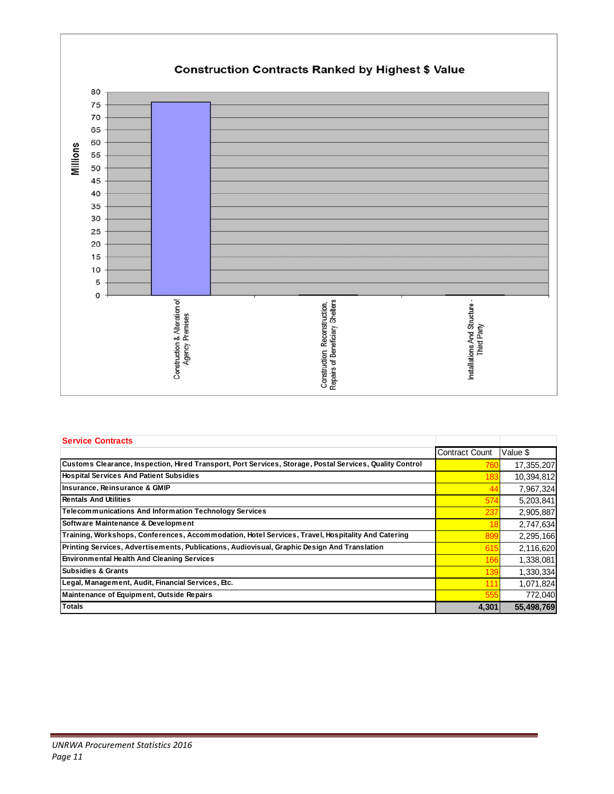

| <b>Service Contracts</b>                                                                                 |                       |            |
|----------------------------------------------------------------------------------------------------------|-----------------------|------------|
|                                                                                                          | <b>Contract Count</b> | Value \$   |
| Customs Clearance, Inspection, Hired Transport, Port Services, Storage, Postal Services, Quality Control | 760                   | 17,355,207 |
| <b>Hospital Services And Patient Subsidies</b>                                                           | 183                   | 10,394,812 |
| Insurance, Reinsurance & GMIP                                                                            | 44                    | 7,967,324  |
| <b>Rentals And Utilities</b>                                                                             | 574                   | 5,203,841  |
| <b>Telecommunications And Information Technology Services</b>                                            | 237                   | 2,905,887  |
| Software Maintenance & Development                                                                       | 18                    | 2,747,634  |
| Training, Workshops, Conferences, Accommodation, Hotel Services, Travel, Hospitality And Catering        | 899                   | 2,295,166  |
| Printing Services, Advertisements, Publications, Audiovisual, Graphic Design And Translation             | 615                   | 2,116,620  |
| <b>Environmental Health And Cleaning Services</b>                                                        | 166                   | 1,338,081  |
| <b>Subsidies &amp; Grants</b>                                                                            | 139                   | 1,330,334  |
| Legal, Management, Audit, Financial Services, Etc.                                                       | 111                   | 1,071,824  |
| <b>Maintenance of Equipment, Outside Repairs</b>                                                         | 555                   | 772,040    |
| <b>Totals</b>                                                                                            | 4,301                 | 55,498,769 |